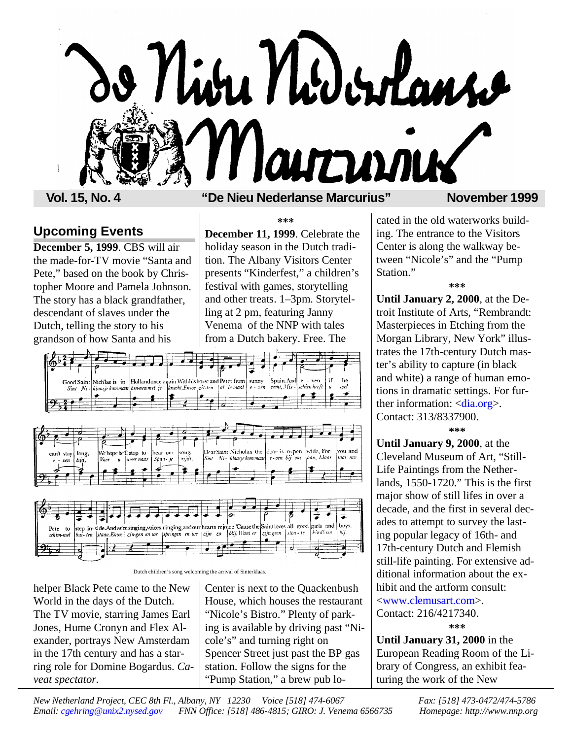

### **Vol. 15, No. 4 "De Nieu Nederlanse Marcurius" November 1999**

# **Upcoming Events**

**December 5, 1999**. CBS will air the made-for-TV movie "Santa and Pete," based on the book by Christopher Moore and Pamela Johnson. The story has a black grandfather, descendant of slaves under the Dutch, telling the story to his grandson of how Santa and his

### **\*\*\***

**December 11, 1999**. Celebrate the holiday season in the Dutch tradition. The Albany Visitors Center presents "Kinderfest," a children's festival with games, storytelling and other treats. 1–3pm. Storytelling at 2 pm, featuring Janny Venema of the NNP with tales from a Dutch bakery. Free. The







Dutch children's song welcoming the arrival of Sinterklaas.

helper Black Pete came to the New World in the days of the Dutch. The TV movie, starring James Earl Jones, Hume Cronyn and Flex Alexander, portrays New Amsterdam in the 17th century and has a starring role for Domine Bogardus. *Caveat spectator.*

Center is next to the Quackenbush House, which houses the restaurant "Nicole's Bistro." Plenty of parking is available by driving past "Nicole's" and turning right on Spencer Street just past the BP gas station. Follow the signs for the "Pump Station," a brew pub located in the old waterworks building. The entrance to the Visitors Center is along the walkway between "Nicole's" and the "Pump Station."

**\*\*\***

**Until January 2, 2000**, at the Detroit Institute of Arts, "Rembrandt: Masterpieces in Etching from the Morgan Library, New York" illustrates the 17th-century Dutch master's ability to capture (in black and white) a range of human emotions in dramatic settings. For further information:  $\langle \text{dia.org} \rangle$ . Contact: 313/8337900. **\*\*\***

**Until January 9, 2000**, at the Cleveland Museum of Art, "Still-Life Paintings from the Netherlands, 1550-1720." This is the first major show of still lifes in over a decade, and the first in several decades to attempt to survey the lasting popular legacy of 16th- and 17th-century Dutch and Flemish still-life painting. For extensive additional information about the exhibit and the artform consult: [<www.clemusart.com>.](http://www.clemusart.com)

Contact: 216/4217340. **\*\*\***

**Until January 31, 2000** in the European Reading Room of the Library of Congress, an exhibit featuring the work of the New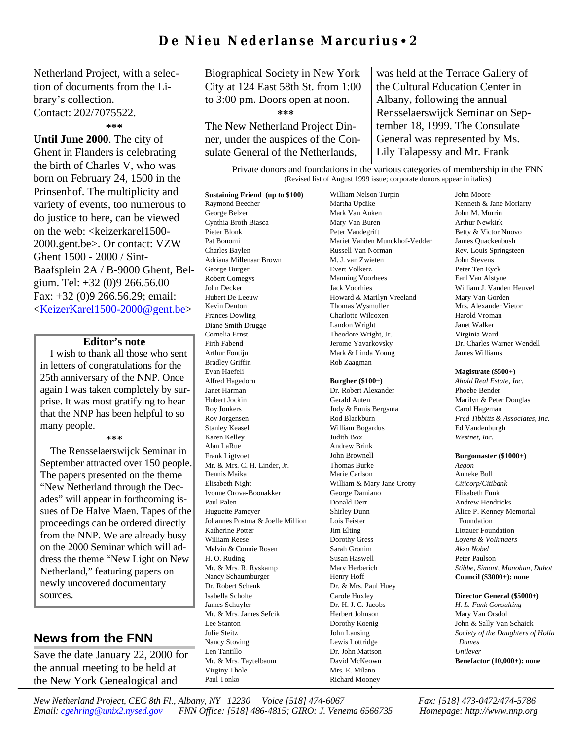# **De Nieu Nederlanse Marcurius** • **2**

Netherland Project, with a selection of documents from the Library's collection. Contact: 202/7075522. **\*\*\***

**Until June 2000**. The city of Ghent in Flanders is celebrating the birth of Charles V, who was born on February 24, 1500 in the Prinsenhof. The multiplicity and variety of events, too numerous to do justice to here, can be viewed on the web: <keizerkarel1500-2000.gent.be>. Or contact: VZW Ghent 1500 - 2000 / Sint-Baafsplein 2A / B-9000 Ghent, Belgium. Tel: +32 (0)9 266.56.00 Fax: +32 (0)9 266.56.29; email: [<KeizerKarel1500-2000@gent.be>](http://KeizerKarel1500-2000@gent.be)

### **Editor's note**

I wish to thank all those who sent in letters of congratulations for the 25th anniversary of the NNP. Once again I was taken completely by surprise. It was most gratifying to hear that the NNP has been helpful to so many people.

#### **\*\*\***

The Rensselaerswijck Seminar in September attracted over 150 people. The papers presented on the theme "New Netherland through the Decades" will appear in forthcoming issues of De Halve Maen. Tapes of the proceedings can be ordered directly from the NNP. We are already busy on the 2000 Seminar which will address the theme "New Light on New Netherland," featuring papers on newly uncovered documentary sources.

### **News from the FNN**

Save the date January 22, 2000 for the annual meeting to be held at the New York Genealogical and

Biographical Society in New York City at 124 East 58th St. from 1:00 to 3:00 pm. Doors open at noon.

**\*\*\***

The New Netherland Project Dinner, under the auspices of the Consulate General of the Netherlands,

was held at the Terrace Gallery of the Cultural Education Center in Albany, following the annual Rensselaerswijck Seminar on September 18, 1999. The Consulate General was represented by Ms. Lily Talapessy and Mr. Frank

Private donors and foundations in the various categories of membership in the FNN (Revised list of August 1999 issue; corporate donors appear in italics)

**Sustaining Friend (up to \$100)** Raymond Beecher George Belzer Cynthia Broth Biasca Pieter Blonk Pat Bonomi Charles Baylen Adriana Millenaar Brown George Burger Robert Comegys John Decker Hubert De Leeuw Kevin Denton Frances Dowling Diane Smith Drugge Cornelia Ernst Firth Fabend Arthur Fontijn Bradley Griffin Evan Haefeli Alfred Hagedorn Janet Harman Hubert Jockin Roy Jonkers Roy Jorgensen Stanley Keasel Karen Kelley Alan LaRue Frank Ligtvoet Mr. & Mrs. C. H. Linder, Jr. Dennis Maika Elisabeth Night Ivonne Orova-Boonakker Paul Palen Huguette Pameyer Johannes Postma & Joelle Million Katherine Potter William Reese Melvin & Connie Rosen H. O. Ruding Mr. & Mrs. R. Ryskamp Nancy Schaumburger Dr. Robert Schenk Isabella Scholte James Schuyler Mr. & Mrs. James Sefcik Lee Stanton Julie Steitz Nancy Stoving Len Tantillo Mr. & Mrs. Taytelbaum Virginy Thole Paul Tonko

William Nelson Turpin Martha Updike Mark Van Auken Mary Van Buren Peter Vandegrift Mariet Vanden Munckhof-Vedder Russell Van Norman M. J. van Zwieten Evert Volkerz Manning Voorhees Jack Voorhies Howard & Marilyn Vreeland Thomas Wysmuller Charlotte Wilcoxen Landon Wright Theodore Wright, Jr. Jerome Yavarkovsky Mark & Linda Young Rob Zaagman

#### **Burgher (\$100+)**

Dr. Robert Alexander Gerald Auten Judy & Ennis Bergsma Rod Blackburn William Bogardus Judith Box Andrew Brink John Brownell Thomas Burke Marie Carlson William & Mary Jane Crotty George Damiano Donald Derr Shirley Dunn Lois Feister Jim Elting Dorothy Gress Sarah Gronim Susan Haswell Mary Herberich Henry Hoff Dr. & Mrs. Paul Huey Carole Huxley Dr. H. J. C. Jacobs Herbert Johnson Dorothy Koenig John Lansing Lewis Lottridge Dr. John Mattson David McKeown Mrs. E. Milano Richard Mooney

John Moore Kenneth & Jane Moriarty John M. Murrin Arthur Newkirk Betty & Victor Nuovo James Quackenbush Rev. Louis Springsteen John Stevens Peter Ten Eyck Earl Van Alstyne William J. Vanden Heuvel Mary Van Gorden Mrs. Alexander Vietor Harold Vroman Janet Walker Virginia Ward Dr. Charles Warner Wendell James Williams

#### **Magistrate (\$500+)**

*Ahold Real Estate, Inc.* Phoebe Bender Marilyn & Peter Douglas Carol Hageman *Fred Tibbitts & Associates, Inc.* Ed Vandenburgh *Westnet, Inc.*

#### **Burgomaster (\$1000+)**

*Aegon* Anneke Bull *Citicorp/Citibank* Elisabeth Funk Andrew Hendricks Alice P. Kenney Memorial Foundation Littauer Foundation *Loyens & Volkmaers Akzo Nobel* Peter Paulson *Stibbe, Simont, Monohan, Duhot* **Council (\$3000+): none**

#### **Director General (\$5000+)**

*H. L. Funk Consulting* Mary Van Orsdol John & Sally Van Schaick *Society of the Daughters of Holla Dames Unilever* **Benefactor (10,000+): none**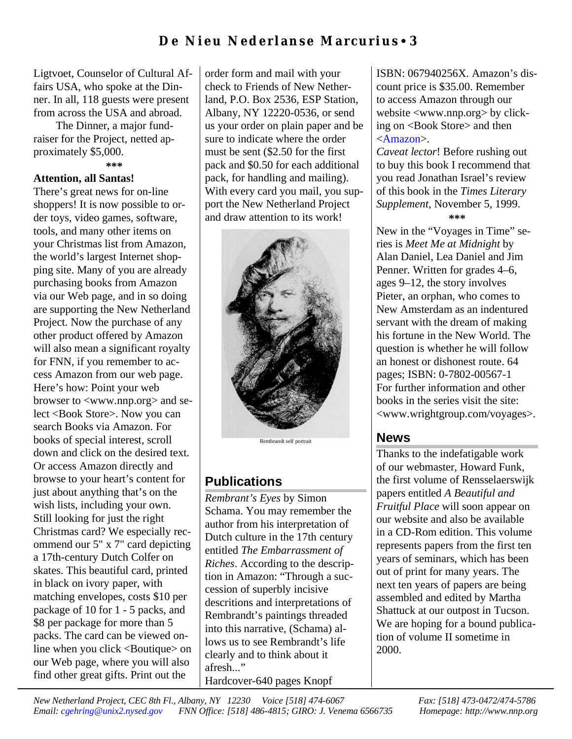Ligtvoet, Counselor of Cultural Affairs USA, who spoke at the Dinner. In all, 118 guests were present from across the USA and abroad.

 The Dinner, a major fundraiser for the Project, netted approximately \$5,000. **\*\*\***

### **Attention, all Santas!**

There's great news for on-line shoppers! It is now possible to order toys, video games, software, tools, and many other items on your Christmas list from Amazon, the world's largest Internet shopping site. Many of you are already purchasing books from Amazon via our Web page, and in so doing are supporting the New Netherland Project. Now the purchase of any other product offered by Amazon will also mean a significant royalty for FNN, if you remember to access Amazon from our web page. Here's how: Point your web browser to <www.nnp.org> and select <Book Store>. Now you can search Books via Amazon. For books of special interest, scroll down and click on the desired text. Or access Amazon directly and browse to your heart's content for just about anything that's on the wish lists, including your own. Still looking for just the right Christmas card? We especially recommend our 5" x 7" card depicting a 17th-century Dutch Colfer on skates. This beautiful card, printed in black on ivory paper, with matching envelopes, costs \$10 per package of 10 for 1 - 5 packs, and \$8 per package for more than 5 packs. The card can be viewed online when you click <Boutique> on our Web page, where you will also find other great gifts. Print out the

order form and mail with your check to Friends of New Netherland, P.O. Box 2536, ESP Station, Albany, NY 12220-0536, or send us your order on plain paper and be sure to indicate where the order must be sent (\$2.50 for the first pack and \$0.50 for each additional pack, for handling and mailing). With every card you mail, you support the New Netherland Project and draw attention to its work!



#### Rembrandt self portrait

# **Publications**

*Rembrant's Eyes* by Simon Schama. You may remember the author from his interpretation of Dutch culture in the 17th century entitled *The Embarrassment of Riches*. According to the description in Amazon: "Through a succession of superbly incisive descritions and interpretations of Rembrandt's paintings threaded into this narrative, (Schama) allows us to see Rembrandt's life clearly and to think about it afresh..." Hardcover-640 pages Knopf

ISBN: 067940256X. Amazon's discount price is \$35.00. Remember to access Amazon through our website <www.nnp.org> by clicking on <Book Store> and then [<Amazon>.](http://www.nnp.org//fnn/fnnstore/books.html)

*Caveat lector*! Before rushing out to buy this book I recommend that you read Jonathan Israel's review of this book in the *Times Literary Supplement*, November 5, 1999. **\*\*\***

New in the "Voyages in Time" series is *Meet Me at Midnight* by Alan Daniel, Lea Daniel and Jim Penner. Written for grades 4–6, ages 9–12, the story involves Pieter, an orphan, who comes to New Amsterdam as an indentured servant with the dream of making his fortune in the New World. The question is whether he will follow an honest or dishonest route. 64 pages; ISBN: 0-7802-00567-1 For further information and other books in the series visit the site: <www.wrightgroup.com/voyages>.

## **News**

Thanks to the indefatigable work of our webmaster, Howard Funk, the first volume of Rensselaerswijk papers entitled *A Beautiful and Fruitful Place* will soon appear on our website and also be available in a CD-Rom edition. This volume represents papers from the first ten years of seminars, which has been out of print for many years. The next ten years of papers are being assembled and edited by Martha Shattuck at our outpost in Tucson. We are hoping for a bound publication of volume II sometime in 2000.